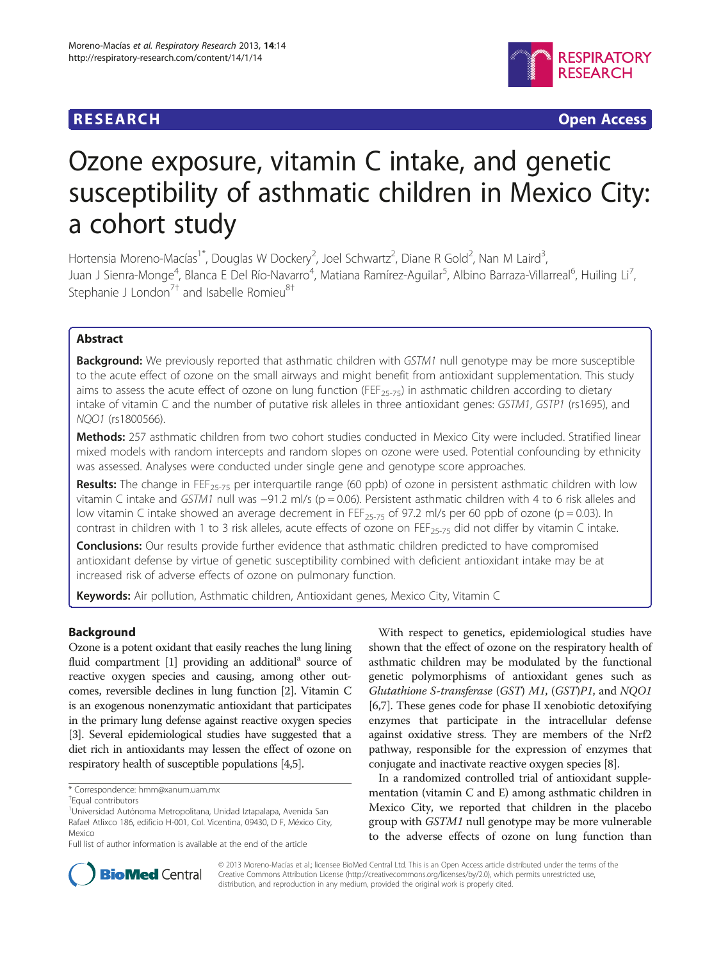# **RESEARCH RESEARCH** *CHECK CHECK CHECK CHECK CHECK CHECK CHECK CHECK CHECK CHECK CHECK CHECK CHECK CHECK CHECK CHECK CHECK CHECK CHECK CHECK CHECK CHECK CHECK CHECK CHECK CHECK CHECK CHECK CHECK CHECK CHECK CHECK CHECK*



# Ozone exposure, vitamin C intake, and genetic susceptibility of asthmatic children in Mexico City: a cohort study

Hortensia Moreno-Macías<sup>1\*</sup>, Douglas W Dockery<sup>2</sup>, Joel Schwartz<sup>2</sup>, Diane R Gold<sup>2</sup>, Nan M Laird<sup>3</sup> , Juan J Sienra-Monge<sup>4</sup>, Blanca E Del Río-Navarro<sup>4</sup>, Matiana Ramírez-Aguilar<sup>5</sup>, Albino Barraza-Villarreal<sup>6</sup>, Huiling Li<sup>7</sup> , Stephanie J London<sup>7†</sup> and Isabelle Romieu<sup>8†</sup>

# Abstract

**Background:** We previously reported that asthmatic children with GSTM1 null genotype may be more susceptible to the acute effect of ozone on the small airways and might benefit from antioxidant supplementation. This study aims to assess the acute effect of ozone on lung function ( $FE_{25-75}$ ) in asthmatic children according to dietary intake of vitamin C and the number of putative risk alleles in three antioxidant genes: GSTM1, GSTP1 (rs1695), and NQO1 (rs1800566).

Methods: 257 asthmatic children from two cohort studies conducted in Mexico City were included. Stratified linear mixed models with random intercepts and random slopes on ozone were used. Potential confounding by ethnicity was assessed. Analyses were conducted under single gene and genotype score approaches.

Results: The change in FEF<sub>25-75</sub> per interquartile range (60 ppb) of ozone in persistent asthmatic children with low vitamin C intake and GSTM1 null was −91.2 ml/s (p = 0.06). Persistent asthmatic children with 4 to 6 risk alleles and low vitamin C intake showed an average decrement in FEF<sub>25-75</sub> of 97.2 ml/s per 60 ppb of ozone (p = 0.03). In contrast in children with 1 to 3 risk alleles, acute effects of ozone on FEF<sub>25-75</sub> did not differ by vitamin C intake.

**Conclusions:** Our results provide further evidence that asthmatic children predicted to have compromised antioxidant defense by virtue of genetic susceptibility combined with deficient antioxidant intake may be at increased risk of adverse effects of ozone on pulmonary function.

Keywords: Air pollution, Asthmatic children, Antioxidant genes, Mexico City, Vitamin C

# Background

Ozone is a potent oxidant that easily reaches the lung lining fluid compartment  $[1]$  providing an additional<sup>a</sup> source of reactive oxygen species and causing, among other outcomes, reversible declines in lung function [\[2\]](#page-8-0). Vitamin C is an exogenous nonenzymatic antioxidant that participates in the primary lung defense against reactive oxygen species [[3](#page-8-0)]. Several epidemiological studies have suggested that a diet rich in antioxidants may lessen the effect of ozone on respiratory health of susceptible populations [[4,5](#page-8-0)].

With respect to genetics, epidemiological studies have shown that the effect of ozone on the respiratory health of asthmatic children may be modulated by the functional genetic polymorphisms of antioxidant genes such as Glutathione S-transferase (GST) M1, (GST)P1, and NQO1 [[6,7\]](#page-8-0). These genes code for phase II xenobiotic detoxifying enzymes that participate in the intracellular defense against oxidative stress. They are members of the Nrf2 pathway, responsible for the expression of enzymes that conjugate and inactivate reactive oxygen species [\[8](#page-8-0)].

In a randomized controlled trial of antioxidant supplementation (vitamin C and E) among asthmatic children in Mexico City, we reported that children in the placebo group with GSTM1 null genotype may be more vulnerable to the adverse effects of ozone on lung function than



© 2013 Moreno-Macías et al.; licensee BioMed Central Ltd. This is an Open Access article distributed under the terms of the Creative Commons Attribution License (<http://creativecommons.org/licenses/by/2.0>), which permits unrestricted use, distribution, and reproduction in any medium, provided the original work is properly cited.

<sup>\*</sup> Correspondence: [hmm@xanum.uam.mx](mailto:hmm@xanum.uam.mx) †

<sup>&</sup>lt;sup>+</sup>Equal contributors

<sup>&</sup>lt;sup>1</sup>Universidad Autónoma Metropolitana, Unidad Iztapalapa, Avenida San Rafael Atlixco 186, edificio H-001, Col. Vicentina, 09430, D F, México City, Mexico

Full list of author information is available at the end of the article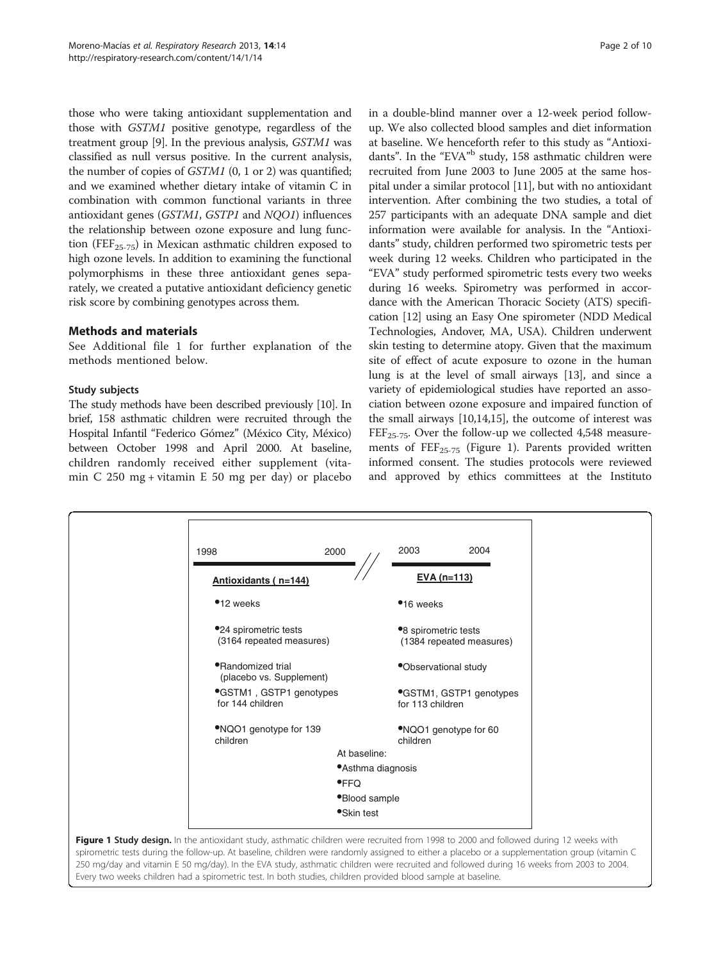those who were taking antioxidant supplementation and those with GSTM1 positive genotype, regardless of the treatment group [\[9](#page-8-0)]. In the previous analysis, GSTM1 was classified as null versus positive. In the current analysis, the number of copies of GSTM1 (0, 1 or 2) was quantified; and we examined whether dietary intake of vitamin C in combination with common functional variants in three antioxidant genes (GSTM1, GSTP1 and NQO1) influences the relationship between ozone exposure and lung function (FEF<sub>25-75</sub>) in Mexican asthmatic children exposed to high ozone levels. In addition to examining the functional polymorphisms in these three antioxidant genes separately, we created a putative antioxidant deficiency genetic risk score by combining genotypes across them.

# Methods and materials

See Additional file [1](#page-8-0) for further explanation of the methods mentioned below.

# Study subjects

The study methods have been described previously [[10](#page-8-0)]. In brief, 158 asthmatic children were recruited through the Hospital Infantil "Federico Gómez" (México City, México) between October 1998 and April 2000. At baseline, children randomly received either supplement (vitamin C 250 mg + vitamin E 50 mg per day) or placebo

in a double-blind manner over a 12-week period followup. We also collected blood samples and diet information at baseline. We henceforth refer to this study as "Antioxidants". In the "EVA"<sup>b</sup> study, 158 asthmatic children were recruited from June 2003 to June 2005 at the same hospital under a similar protocol [[11\]](#page-8-0), but with no antioxidant intervention. After combining the two studies, a total of 257 participants with an adequate DNA sample and diet information were available for analysis. In the "Antioxidants" study, children performed two spirometric tests per week during 12 weeks. Children who participated in the "EVA" study performed spirometric tests every two weeks during 16 weeks. Spirometry was performed in accordance with the American Thoracic Society (ATS) specification [[12](#page-8-0)] using an Easy One spirometer (NDD Medical Technologies, Andover, MA, USA). Children underwent skin testing to determine atopy. Given that the maximum site of effect of acute exposure to ozone in the human lung is at the level of small airways [\[13\]](#page-8-0), and since a variety of epidemiological studies have reported an association between ozone exposure and impaired function of the small airways [[10](#page-8-0),[14,15\]](#page-8-0), the outcome of interest was  $FEF<sub>25-75</sub>$ . Over the follow-up we collected 4,548 measurements of  $FEF_{25-75}$  (Figure 1). Parents provided written informed consent. The studies protocols were reviewed and approved by ethics committees at the Instituto

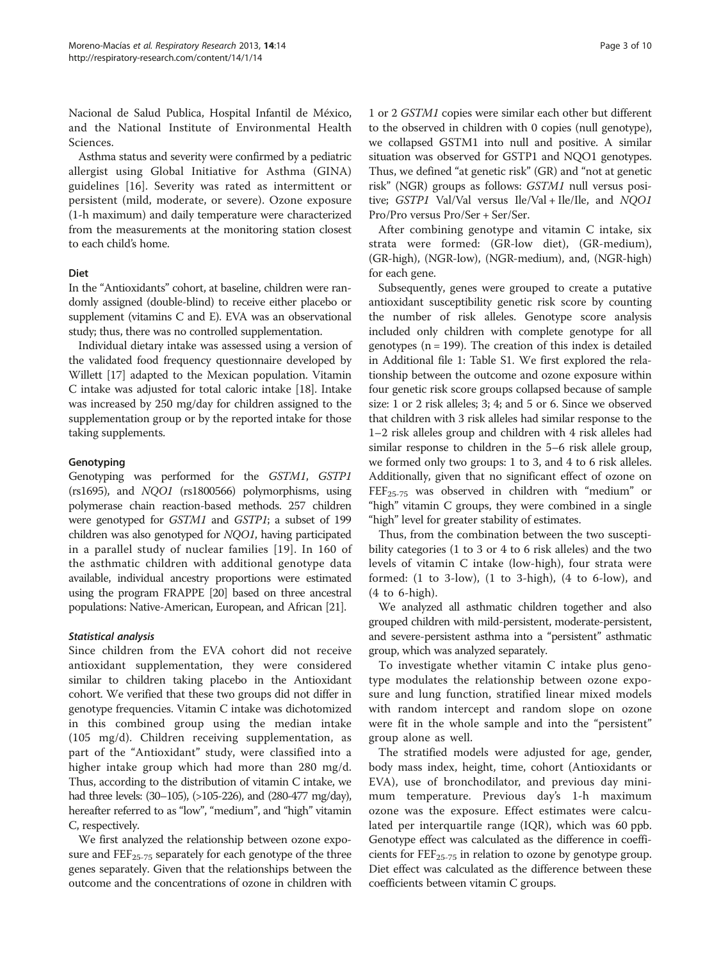Nacional de Salud Publica, Hospital Infantil de México, and the National Institute of Environmental Health Sciences.

Asthma status and severity were confirmed by a pediatric allergist using Global Initiative for Asthma (GINA) guidelines [[16\]](#page-8-0). Severity was rated as intermittent or persistent (mild, moderate, or severe). Ozone exposure (1-h maximum) and daily temperature were characterized from the measurements at the monitoring station closest to each child's home.

# Diet

In the "Antioxidants" cohort, at baseline, children were randomly assigned (double-blind) to receive either placebo or supplement (vitamins C and E). EVA was an observational study; thus, there was no controlled supplementation.

Individual dietary intake was assessed using a version of the validated food frequency questionnaire developed by Willett [\[17\]](#page-8-0) adapted to the Mexican population. Vitamin C intake was adjusted for total caloric intake [\[18\]](#page-8-0). Intake was increased by 250 mg/day for children assigned to the supplementation group or by the reported intake for those taking supplements.

### Genotyping

Genotyping was performed for the GSTM1, GSTP1 (rs1695), and NQO1 (rs1800566) polymorphisms, using polymerase chain reaction-based methods. 257 children were genotyped for GSTM1 and GSTP1; a subset of 199 children was also genotyped for NQO1, having participated in a parallel study of nuclear families [\[19\]](#page-8-0). In 160 of the asthmatic children with additional genotype data available, individual ancestry proportions were estimated using the program FRAPPE [[20](#page-8-0)] based on three ancestral populations: Native-American, European, and African [\[21](#page-8-0)].

### Statistical analysis

Since children from the EVA cohort did not receive antioxidant supplementation, they were considered similar to children taking placebo in the Antioxidant cohort. We verified that these two groups did not differ in genotype frequencies. Vitamin C intake was dichotomized in this combined group using the median intake (105 mg/d). Children receiving supplementation, as part of the "Antioxidant" study, were classified into a higher intake group which had more than 280 mg/d. Thus, according to the distribution of vitamin C intake, we had three levels: (30–105), (>105-226), and (280-477 mg/day), hereafter referred to as "low", "medium", and "high" vitamin C, respectively.

We first analyzed the relationship between ozone exposure and  $\text{FEF}_{25-75}$  separately for each genotype of the three genes separately. Given that the relationships between the outcome and the concentrations of ozone in children with

1 or 2 GSTM1 copies were similar each other but different to the observed in children with 0 copies (null genotype), we collapsed GSTM1 into null and positive. A similar situation was observed for GSTP1 and NQO1 genotypes. Thus, we defined "at genetic risk" (GR) and "not at genetic risk" (NGR) groups as follows: GSTM1 null versus positive; GSTP1 Val/Val versus Ile/Val + Ile/Ile, and NQO1 Pro/Pro versus Pro/Ser + Ser/Ser.

After combining genotype and vitamin C intake, six strata were formed: (GR-low diet), (GR-medium), (GR-high), (NGR-low), (NGR-medium), and, (NGR-high) for each gene.

Subsequently, genes were grouped to create a putative antioxidant susceptibility genetic risk score by counting the number of risk alleles. Genotype score analysis included only children with complete genotype for all genotypes ( $n = 199$ ). The creation of this index is detailed in Additional file [1](#page-8-0): Table S1. We first explored the relationship between the outcome and ozone exposure within four genetic risk score groups collapsed because of sample size: 1 or 2 risk alleles; 3; 4; and 5 or 6. Since we observed that children with 3 risk alleles had similar response to the 1–2 risk alleles group and children with 4 risk alleles had similar response to children in the 5–6 risk allele group, we formed only two groups: 1 to 3, and 4 to 6 risk alleles. Additionally, given that no significant effect of ozone on  $FEF<sub>25-75</sub>$  was observed in children with "medium" or "high" vitamin C groups, they were combined in a single "high" level for greater stability of estimates.

Thus, from the combination between the two susceptibility categories (1 to 3 or 4 to 6 risk alleles) and the two levels of vitamin C intake (low-high), four strata were formed: (1 to 3-low), (1 to 3-high), (4 to 6-low), and (4 to 6-high).

We analyzed all asthmatic children together and also grouped children with mild-persistent, moderate-persistent, and severe-persistent asthma into a "persistent" asthmatic group, which was analyzed separately.

To investigate whether vitamin C intake plus genotype modulates the relationship between ozone exposure and lung function, stratified linear mixed models with random intercept and random slope on ozone were fit in the whole sample and into the "persistent" group alone as well.

The stratified models were adjusted for age, gender, body mass index, height, time, cohort (Antioxidants or EVA), use of bronchodilator, and previous day minimum temperature. Previous day's 1-h maximum ozone was the exposure. Effect estimates were calculated per interquartile range (IQR), which was 60 ppb. Genotype effect was calculated as the difference in coefficients for  $\text{FEF}_{25-75}$  in relation to ozone by genotype group. Diet effect was calculated as the difference between these coefficients between vitamin C groups.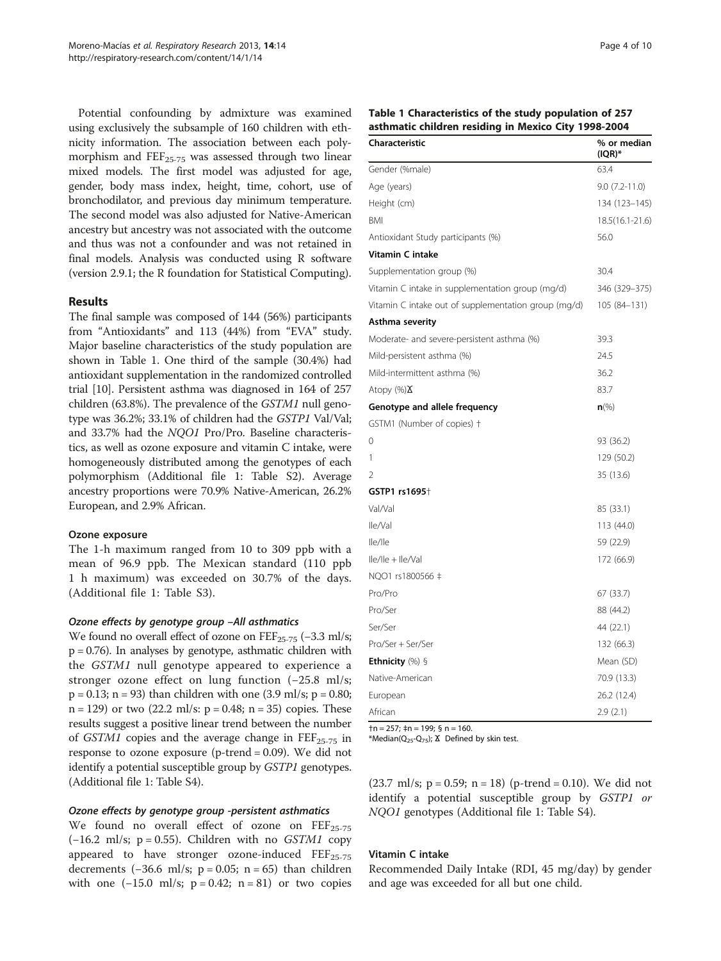Potential confounding by admixture was examined using exclusively the subsample of 160 children with ethnicity information. The association between each polymorphism and  $FEF_{25-75}$  was assessed through two linear mixed models. The first model was adjusted for age, gender, body mass index, height, time, cohort, use of bronchodilator, and previous day minimum temperature. The second model was also adjusted for Native-American ancestry but ancestry was not associated with the outcome and thus was not a confounder and was not retained in final models. Analysis was conducted using R software (version 2.9.1; the R foundation for Statistical Computing).

# Results

The final sample was composed of 144 (56%) participants from "Antioxidants" and 113 (44%) from "EVA" study. Major baseline characteristics of the study population are shown in Table 1. One third of the sample (30.4%) had antioxidant supplementation in the randomized controlled trial [\[10\]](#page-8-0). Persistent asthma was diagnosed in 164 of 257 children (63.8%). The prevalence of the GSTM1 null genotype was 36.2%; 33.1% of children had the GSTP1 Val/Val; and 33.7% had the NQO1 Pro/Pro. Baseline characteristics, as well as ozone exposure and vitamin C intake, were homogeneously distributed among the genotypes of each polymorphism (Additional file [1](#page-8-0): Table S2). Average ancestry proportions were 70.9% Native-American, 26.2% European, and 2.9% African.

### Ozone exposure

The 1-h maximum ranged from 10 to 309 ppb with a mean of 96.9 ppb. The Mexican standard (110 ppb 1 h maximum) was exceeded on 30.7% of the days. (Additional file [1:](#page-8-0) Table S3).

### Ozone effects by genotype group –All asthmatics

We found no overall effect of ozone on  $FEF_{25-75}$  (-3.3 ml/s;  $p = 0.76$ ). In analyses by genotype, asthmatic children with the GSTM1 null genotype appeared to experience a stronger ozone effect on lung function (−25.8 ml/s;  $p = 0.13$ ; n = 93) than children with one (3.9 ml/s; p = 0.80;  $n = 129$ ) or two  $(22.2 \text{ ml/s: } p = 0.48; n = 35)$  copies. These results suggest a positive linear trend between the number of GSTM1 copies and the average change in  $\text{FEF}_{25-75}$  in response to ozone exposure (p-trend  $= 0.09$ ). We did not identify a potential susceptible group by GSTP1 genotypes. (Additional file [1](#page-8-0): Table S4).

# Ozone effects by genotype group -persistent asthmatics

We found no overall effect of ozone on  $\text{FEF}_{25-75}$  $(-16.2 \text{ ml/s}; \text{ p} = 0.55)$ . Children with no *GSTM1* copy appeared to have stronger ozone-induced  $FEF_{25-75}$ decrements  $(-36.6 \text{ ml/s}; \text{ p} = 0.05; \text{ n} = 65)$  than children with one  $(-15.0 \text{ ml/s}; \text{ p} = 0.42; \text{ n} = 81)$  or two copies

# Table 1 Characteristics of the study population of 257 asthmatic children residing in Mexico City 1998-2004

| Characteristic                                       | % or median<br>$(IQR)*$ |
|------------------------------------------------------|-------------------------|
| Gender (%male)                                       | 63.4                    |
| Age (years)                                          | $9.0(7.2 - 11.0)$       |
| Height (cm)                                          | 134 (123–145)           |
| <b>BMI</b>                                           | $18.5(16.1 - 21.6)$     |
| Antioxidant Study participants (%)                   | 56.0                    |
| Vitamin C intake                                     |                         |
| Supplementation group (%)                            | 30.4                    |
| Vitamin C intake in supplementation group (mg/d)     | 346 (329-375)           |
| Vitamin C intake out of supplementation group (mg/d) | 105 (84-131)            |
| Asthma severity                                      |                         |
| Moderate- and severe-persistent asthma (%)           | 39.3                    |
| Mild-persistent asthma (%)                           | 24.5                    |
| Mild-intermittent asthma (%)                         | 36.2                    |
| Atopy $(\%)X$                                        | 83.7                    |
| Genotype and allele frequency                        | $n(\%)$                 |
| GSTM1 (Number of copies) +                           |                         |
| 0                                                    | 93 (36.2)               |
| 1                                                    | 129 (50.2)              |
| $\overline{2}$                                       | 35 (13.6)               |
| GSTP1 rs1695 <sup>+</sup>                            |                         |
| Val/Val                                              | 85 (33.1)               |
| lle/Val                                              | 113 (44.0)              |
| lle/lle                                              | 59 (22.9)               |
| Ile/Ile + Ile/Val                                    | 172 (66.9)              |
| NQ01 rs1800566 ‡                                     |                         |
| Pro/Pro                                              | 67 (33.7)               |
| Pro/Ser                                              | 88 (44.2)               |
| Ser/Ser                                              | 44 (22.1)               |
| Pro/Ser + Ser/Ser                                    | 132 (66.3)              |
| <b>Ethnicity</b> $(\%)$ §                            | Mean (SD)               |
| Native-American                                      | 70.9 (13.3)             |
| European                                             | 26.2 (12.4)             |
| African                                              | 2.9(2.1)                |

 $\text{tn} = 257$ ;  $\text{tn} = 199$ ; §  $\text{nt} = 160$ .

\*Median( $Q_{25}$ - $Q_{75}$ );  $X$  Defined by skin test.

(23.7 ml/s;  $p = 0.59$ ;  $n = 18$ ) (p-trend = 0.10). We did not identify a potential susceptible group by GSTP1 or NQO1 genotypes (Additional file [1](#page-8-0): Table S4).

#### Vitamin C intake

Recommended Daily Intake (RDI, 45 mg/day) by gender and age was exceeded for all but one child.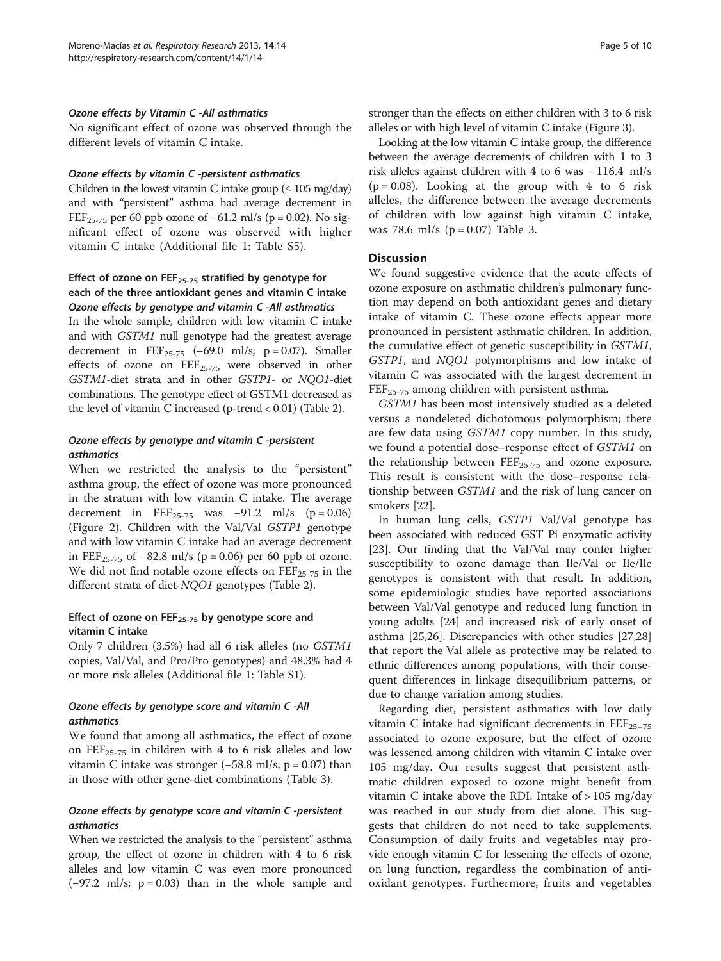#### Ozone effects by Vitamin C -All asthmatics

No significant effect of ozone was observed through the different levels of vitamin C intake.

#### Ozone effects by vitamin C -persistent asthmatics

Children in the lowest vitamin C intake group ( $\leq 105$  mg/day) and with "persistent" asthma had average decrement in FEF<sub>25-75</sub> per 60 ppb ozone of −61.2 ml/s (p = 0.02). No significant effect of ozone was observed with higher vitamin C intake (Additional file [1:](#page-8-0) Table S5).

# Effect of ozone on FEF<sub>25-75</sub> stratified by genotype for each of the three antioxidant genes and vitamin C intake Ozone effects by genotype and vitamin C -All asthmatics

In the whole sample, children with low vitamin C intake and with GSTM1 null genotype had the greatest average decrement in  $FEF_{25-75}$  (−69.0 ml/s; p = 0.07). Smaller effects of ozone on FEF<sub>25-75</sub> were observed in other GSTM1-diet strata and in other GSTP1- or NQO1-diet combinations. The genotype effect of GSTM1 decreased as the level of vitamin C increased (p-trend < 0.01) (Table [2](#page-5-0)).

# Ozone effects by genotype and vitamin C -persistent asthmatics

When we restricted the analysis to the "persistent" asthma group, the effect of ozone was more pronounced in the stratum with low vitamin C intake. The average decrement in  $FEF_{25-75}$  was -91.2 ml/s (p = 0.06) (Figure [2](#page-6-0)). Children with the Val/Val GSTP1 genotype and with low vitamin C intake had an average decrement in FEF<sub>25-75</sub> of  $-82.8$  ml/s (p = 0.06) per 60 ppb of ozone. We did not find notable ozone effects on  $\text{FEF}_{25-75}$  in the different strata of diet-NQO1 genotypes (Table [2\)](#page-5-0).

# Effect of ozone on  $FEF_{25-75}$  by genotype score and vitamin C intake

Only 7 children (3.5%) had all 6 risk alleles (no GSTM1 copies, Val/Val, and Pro/Pro genotypes) and 48.3% had 4 or more risk alleles (Additional file [1:](#page-8-0) Table S1).

# Ozone effects by genotype score and vitamin C -All asthmatics

We found that among all asthmatics, the effect of ozone on  $\text{FEF}_{25-75}$  in children with 4 to 6 risk alleles and low vitamin C intake was stronger  $(-58.8 \text{ ml/s}; p = 0.07)$  than in those with other gene-diet combinations (Table [3\)](#page-6-0).

# Ozone effects by genotype score and vitamin C -persistent asthmatics

When we restricted the analysis to the "persistent" asthma group, the effect of ozone in children with 4 to 6 risk alleles and low vitamin C was even more pronounced  $(-97.2 \text{ ml/s}; \text{ p} = 0.03)$  than in the whole sample and stronger than the effects on either children with 3 to 6 risk alleles or with high level of vitamin C intake (Figure [3](#page-7-0)).

Looking at the low vitamin C intake group, the difference between the average decrements of children with 1 to 3 risk alleles against children with 4 to 6 was −116.4 ml/s  $(p = 0.08)$ . Looking at the group with 4 to 6 risk alleles, the difference between the average decrements of children with low against high vitamin C intake, was 78.6 ml/s ( $p = 0.07$ ) Table [3.](#page-6-0)

### **Discussion**

We found suggestive evidence that the acute effects of ozone exposure on asthmatic children's pulmonary function may depend on both antioxidant genes and dietary intake of vitamin C. These ozone effects appear more pronounced in persistent asthmatic children. In addition, the cumulative effect of genetic susceptibility in GSTM1, GSTP1, and NQO1 polymorphisms and low intake of vitamin C was associated with the largest decrement in  $FEF<sub>25-75</sub>$  among children with persistent asthma.

GSTM1 has been most intensively studied as a deleted versus a nondeleted dichotomous polymorphism; there are few data using GSTM1 copy number. In this study, we found a potential dose–response effect of GSTM1 on the relationship between  $\text{FEF}_{25-75}$  and ozone exposure. This result is consistent with the dose–response relationship between GSTM1 and the risk of lung cancer on smokers [[22\]](#page-9-0).

In human lung cells, GSTP1 Val/Val genotype has been associated with reduced GST Pi enzymatic activity [[23\]](#page-9-0). Our finding that the Val/Val may confer higher susceptibility to ozone damage than Ile/Val or Ile/Ile genotypes is consistent with that result. In addition, some epidemiologic studies have reported associations between Val/Val genotype and reduced lung function in young adults [[24\]](#page-9-0) and increased risk of early onset of asthma [[25,26\]](#page-9-0). Discrepancies with other studies [[27](#page-9-0),[28](#page-9-0)] that report the Val allele as protective may be related to ethnic differences among populations, with their consequent differences in linkage disequilibrium patterns, or due to change variation among studies.

Regarding diet, persistent asthmatics with low daily vitamin C intake had significant decrements in  $\text{FEF}_{25-75}$ associated to ozone exposure, but the effect of ozone was lessened among children with vitamin C intake over 105 mg/day. Our results suggest that persistent asthmatic children exposed to ozone might benefit from vitamin C intake above the RDI. Intake of  $> 105$  mg/day was reached in our study from diet alone. This suggests that children do not need to take supplements. Consumption of daily fruits and vegetables may provide enough vitamin C for lessening the effects of ozone, on lung function, regardless the combination of antioxidant genotypes. Furthermore, fruits and vegetables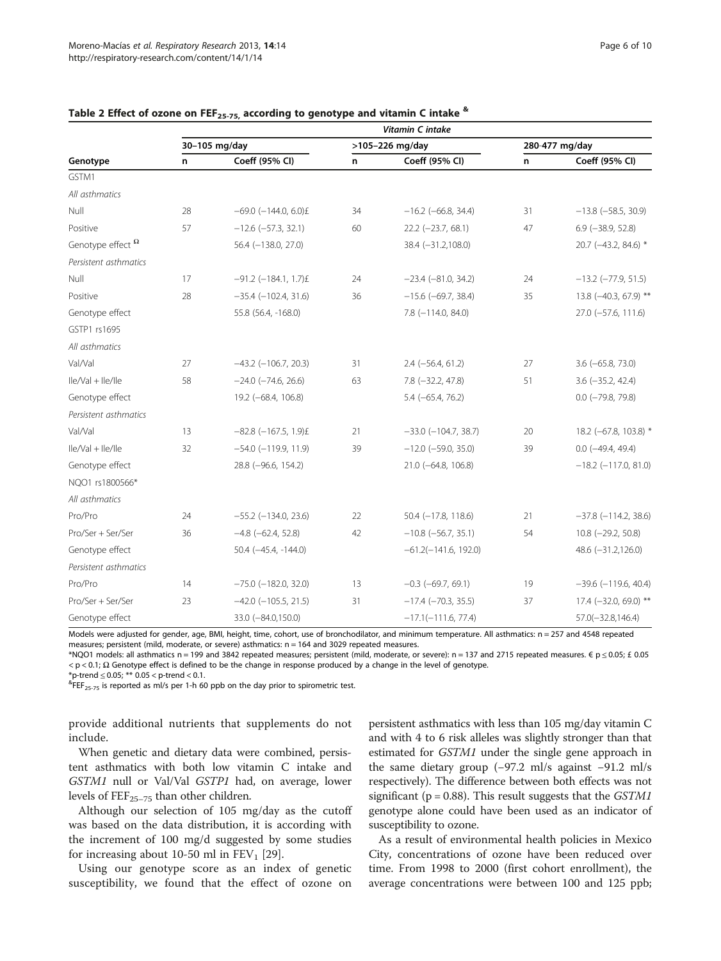| Genotype                          | Vitamin C intake |                            |                 |                             |                |                            |  |  |  |
|-----------------------------------|------------------|----------------------------|-----------------|-----------------------------|----------------|----------------------------|--|--|--|
|                                   | 30-105 mg/day    |                            | >105-226 mg/day |                             | 280-477 mg/day |                            |  |  |  |
|                                   | n                | Coeff (95% CI)             | n               | Coeff (95% CI)              | n              | Coeff (95% CI)             |  |  |  |
| GSTM1                             |                  |                            |                 |                             |                |                            |  |  |  |
| All asthmatics                    |                  |                            |                 |                             |                |                            |  |  |  |
| Null                              | 28               | $-69.0$ ( $-144.0$ , 6.0)£ | 34              | $-16.2$ (-66.8, 34.4)       | 31             | $-13.8$ ( $-58.5$ , 30.9)  |  |  |  |
| Positive                          | 57               | $-12.6$ $(-57.3, 32.1)$    | 60              | 22.2 (-23.7, 68.1)          | 47             | $6.9$ (-38.9, 52.8)        |  |  |  |
| Genotype effect $^{\Omega}$       |                  | 56.4 (-138.0, 27.0)        |                 | 38.4 (-31.2,108.0)          |                | 20.7 (-43.2, 84.6) *       |  |  |  |
| Persistent asthmatics             |                  |                            |                 |                             |                |                            |  |  |  |
| $\ensuremath{\mathsf{Null}}$      | 17               | $-91.2$ (-184.1, 1.7)£     | 24              | $-23.4 (-81.0, 34.2)$       | 24             | $-13.2$ ( $-77.9$ , 51.5)  |  |  |  |
| Positive                          | 28               | $-35.4$ $(-102.4, 31.6)$   | 36              | $-15.6$ (-69.7, 38.4)       | 35             | 13.8 (-40.3, 67.9) **      |  |  |  |
| Genotype effect                   |                  | 55.8 (56.4, -168.0)        |                 | $7.8$ ( $-114.0$ , $84.0$ ) |                | $27.0$ (-57.6, 111.6)      |  |  |  |
| GSTP1 rs1695                      |                  |                            |                 |                             |                |                            |  |  |  |
| All asthmatics                    |                  |                            |                 |                             |                |                            |  |  |  |
| Val/Val                           | 27               | $-43.2$ ( $-106.7$ , 20.3) | 31              | $2.4 (-56.4, 61.2)$         | 27             | $3.6$ (-65.8, 73.0)        |  |  |  |
| $\text{IIe/Val} + \text{IIe/IIe}$ | 58               | $-24.0$ ( $-74.6$ , 26.6)  | 63              | $7.8$ $(-32.2, 47.8)$       | 51             | $3.6$ (-35.2, 42.4)        |  |  |  |
| Genotype effect                   |                  | 19.2 (-68.4, 106.8)        |                 | $5.4 (-65.4, 76.2)$         |                | $0.0$ ( $-79.8$ , $79.8$ ) |  |  |  |
| Persistent asthmatics             |                  |                            |                 |                             |                |                            |  |  |  |
| Val/Val                           | 13               | $-82.8$ ( $-167.5$ , 1.9)£ | 21              | $-33.0$ ( $-104.7$ , 38.7)  | 20             | 18.2 $(-67.8, 103.8)$ *    |  |  |  |
| $I$ le/Val + $I$ le/Ile           | 32               | $-54.0$ ( $-119.9$ , 11.9) | 39              | $-12.0$ ( $-59.0$ , 35.0)   | 39             | $0.0$ ( $-49.4$ , $49.4$ ) |  |  |  |
| Genotype effect                   |                  | 28.8 (-96.6, 154.2)        |                 | 21.0 (-64.8, 106.8)         |                | $-18.2$ ( $-117.0$ , 81.0) |  |  |  |
| NQO1 rs1800566*                   |                  |                            |                 |                             |                |                            |  |  |  |
| All asthmatics                    |                  |                            |                 |                             |                |                            |  |  |  |
| Pro/Pro                           | 24               | $-55.2$ ( $-134.0$ , 23.6) | 22              | $50.4$ (-17.8, 118.6)       | 21             | $-37.8$ ( $-114.2$ , 38.6) |  |  |  |
| Pro/Ser + Ser/Ser                 | 36               | $-4.8$ $(-62.4, 52.8)$     | 42              | $-10.8$ ( $-56.7$ , 35.1)   | 54             | $10.8$ (-29.2, 50.8)       |  |  |  |
| Genotype effect                   |                  | $50.4 (-45.4, -144.0)$     |                 | $-61.2(-141.6, 192.0)$      |                | 48.6 (-31.2,126.0)         |  |  |  |
| Persistent asthmatics             |                  |                            |                 |                             |                |                            |  |  |  |
| Pro/Pro                           | 14               | $-75.0$ ( $-182.0$ , 32.0) | 13              | $-0.3$ ( $-69.7$ , 69.1)    | 19             | $-39.6$ ( $-119.6$ , 40.4) |  |  |  |
| Pro/Ser + Ser/Ser                 | 23               | $-42.0$ ( $-105.5$ , 21.5) | 31              | $-17.4$ $(-70.3, 35.5)$     | 37             | 17.4 (-32.0, 69.0) **      |  |  |  |
| Genotype effect                   |                  | 33.0 (-84.0,150.0)         |                 | $-17.1(-111.6, 77.4)$       |                | $57.0(-32.8, 146.4)$       |  |  |  |

# <span id="page-5-0"></span>Table 2 Effect of ozone on FEF<sub>25-75</sub>, according to genotype and vitamin C intake  $\frac{8}{3}$

Models were adjusted for gender, age, BMI, height, time, cohort, use of bronchodilator, and minimum temperature. All asthmatics: n = 257 and 4548 repeated measures; persistent (mild, moderate, or severe) asthmatics: n = 164 and 3029 repeated measures.

\*NQO1 models: all asthmatics n = 199 and 3842 repeated measures; persistent (mild, moderate, or severe): n = 137 and 2715 repeated measures. € p ≤ 0.05; £ 0.05 < p < 0.1; Ω Genotype effect is defined to be the change in response produced by a change in the level of genotype.

 $*$ p-trend  $\leq$  0.05;  $**$  0.05  $<$  p-trend  $<$  0.1.

<sup>&</sup>FEF<sub>25-75</sub> is reported as ml/s per 1-h 60 ppb on the day prior to spirometric test.

provide additional nutrients that supplements do not include.

When genetic and dietary data were combined, persistent asthmatics with both low vitamin C intake and GSTM1 null or Val/Val GSTP1 had, on average, lower levels of  $\text{FEF}_{25-75}$  than other children.

Although our selection of 105 mg/day as the cutoff was based on the data distribution, it is according with the increment of 100 mg/d suggested by some studies for increasing about 10-50 ml in  $FEV<sub>1</sub>$  [[29](#page-9-0)].

Using our genotype score as an index of genetic susceptibility, we found that the effect of ozone on

persistent asthmatics with less than 105 mg/day vitamin C and with 4 to 6 risk alleles was slightly stronger than that estimated for GSTM1 under the single gene approach in the same dietary group (−97.2 ml/s against −91.2 ml/s respectively). The difference between both effects was not significant ( $p = 0.88$ ). This result suggests that the *GSTM1* genotype alone could have been used as an indicator of susceptibility to ozone.

As a result of environmental health policies in Mexico City, concentrations of ozone have been reduced over time. From 1998 to 2000 (first cohort enrollment), the average concentrations were between 100 and 125 ppb;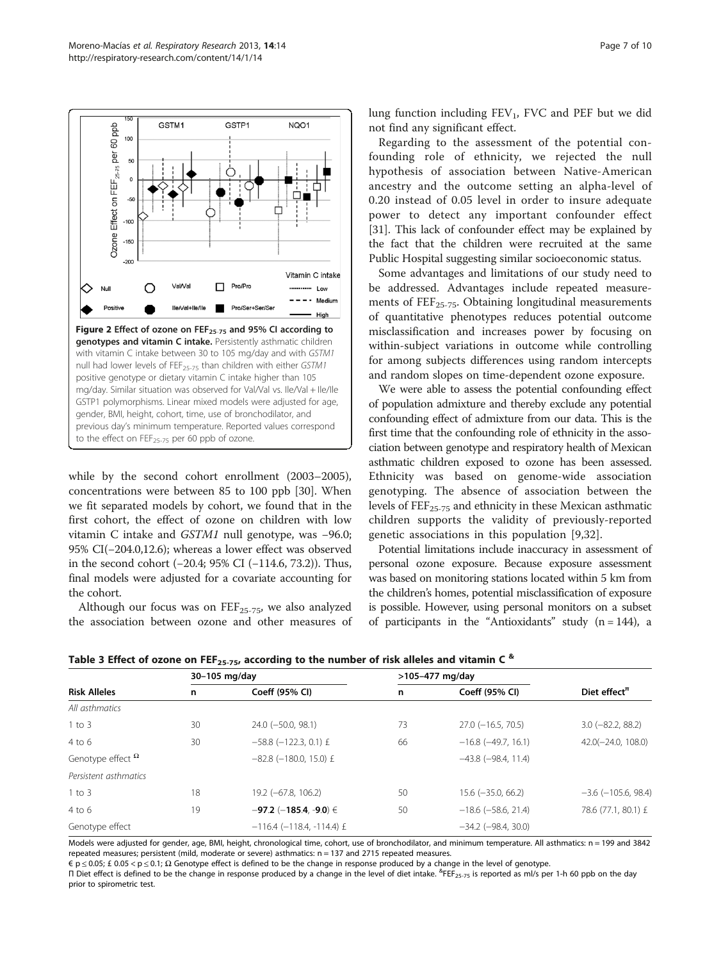<span id="page-6-0"></span>

while by the second cohort enrollment (2003–2005), concentrations were between 85 to 100 ppb [[30\]](#page-9-0). When we fit separated models by cohort, we found that in the first cohort, the effect of ozone on children with low vitamin C intake and GSTM1 null genotype, was −96.0; 95% CI(−204.0,12.6); whereas a lower effect was observed in the second cohort (−20.4; 95% CI (−114.6, 73.2)). Thus, final models were adjusted for a covariate accounting for the cohort.

Although our focus was on  $\text{FEF}_{25-75}$ , we also analyzed the association between ozone and other measures of lung function including  $FEV_1$ , FVC and PEF but we did not find any significant effect.

Regarding to the assessment of the potential confounding role of ethnicity, we rejected the null hypothesis of association between Native-American ancestry and the outcome setting an alpha-level of 0.20 instead of 0.05 level in order to insure adequate power to detect any important confounder effect [[31](#page-9-0)]. This lack of confounder effect may be explained by the fact that the children were recruited at the same Public Hospital suggesting similar socioeconomic status.

Some advantages and limitations of our study need to be addressed. Advantages include repeated measurements of  $FEF_{25-75}$ . Obtaining longitudinal measurements of quantitative phenotypes reduces potential outcome misclassification and increases power by focusing on within-subject variations in outcome while controlling for among subjects differences using random intercepts and random slopes on time-dependent ozone exposure.

We were able to assess the potential confounding effect of population admixture and thereby exclude any potential confounding effect of admixture from our data. This is the first time that the confounding role of ethnicity in the association between genotype and respiratory health of Mexican asthmatic children exposed to ozone has been assessed. Ethnicity was based on genome-wide association genotyping. The absence of association between the levels of  $\text{FEF}_{25-75}$  and ethnicity in these Mexican asthmatic children supports the validity of previously-reported genetic associations in this population [\[9](#page-8-0)[,32](#page-9-0)].

Potential limitations include inaccuracy in assessment of personal ozone exposure. Because exposure assessment was based on monitoring stations located within 5 km from the children's homes, potential misclassification of exposure is possible. However, using personal monitors on a subset of participants in the "Antioxidants" study  $(n = 144)$ , a

| <b>Risk Alleles</b>         |    | -<br>30-105 mg/day           |    | $>105-477$ mg/day         |                                         |
|-----------------------------|----|------------------------------|----|---------------------------|-----------------------------------------|
|                             | n  | Coeff (95% CI)               | n  | Coeff (95% CI)            | Diet effect <sup><math>\pi</math></sup> |
| All asthmatics              |    |                              |    |                           |                                         |
| $1$ to $3$                  | 30 | $24.0$ ( $-50.0$ , $98.1$ )  | 73 | $27.0$ (-16.5, 70.5)      | $3.0$ (-82.2, 88.2)                     |
| $4$ to 6                    | 30 | $-58.8$ ( $-122.3$ , 0.1) £  | 66 | $-16.8$ ( $-49.7$ , 16.1) | $42.0(-24.0, 108.0)$                    |
| Genotype effect $^{\Omega}$ |    | $-82.8$ ( $-180.0$ , 15.0) £ |    | $-43.8$ ( $-98.4$ , 11.4) |                                         |
| Persistent asthmatics       |    |                              |    |                           |                                         |
| $1$ to $3$                  | 18 | $19.2 (-67.8, 106.2)$        | 50 | $15.6$ ( $-35.0$ , 66.2)  | $-3.6$ ( $-105.6$ , 98.4)               |
| $4$ to 6                    | 19 | $-97.2$ (-185.4, -9.0) €     | 50 | $-18.6$ ( $-58.6$ , 21.4) | 78.6 (77.1, 80.1) £                     |
| Genotype effect             |    | $-116.4$ (-118.4, -114.4) £  |    | $-34.2$ ( $-98.4$ , 30.0) |                                         |

Table 3 Effect of ozone on FEF<sub>25-75</sub>, according to the number of risk alleles and vitamin C  $^8$ 

Models were adjusted for gender, age, BMI, height, chronological time, cohort, use of bronchodilator, and minimum temperature. All asthmatics: n = 199 and 3842 repeated measures; persistent (mild, moderate or severe) asthmatics: n = 137 and 2715 repeated measures.

 $\epsilon$  p  $\leq$  0.05; £ 0.05 < p  $\leq$  0.1;  $\Omega$  Genotype effect is defined to be the change in response produced by a change in the level of genotype.

Π Diet effect is defined to be the change in response produced by a change in the level of diet intake. <sup>&</sup>FEF<sub>25-75</sub> is reported as ml/s per 1-h 60 ppb on the day prior to spirometric test.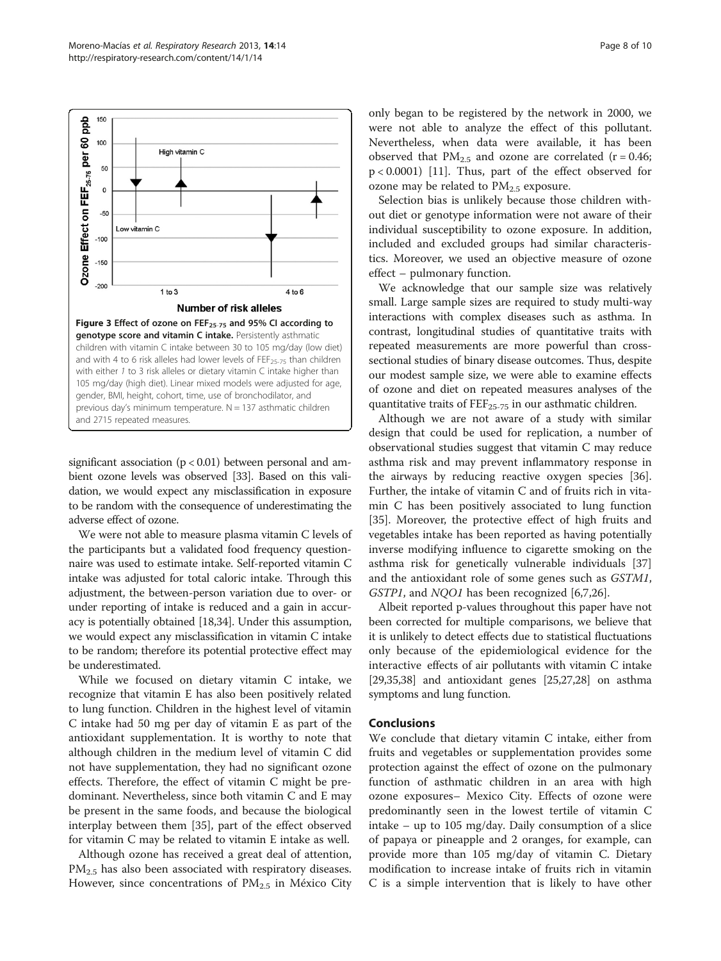<span id="page-7-0"></span>

significant association  $(p < 0.01)$  between personal and ambient ozone levels was observed [\[33](#page-9-0)]. Based on this validation, we would expect any misclassification in exposure to be random with the consequence of underestimating the adverse effect of ozone.

We were not able to measure plasma vitamin C levels of the participants but a validated food frequency questionnaire was used to estimate intake. Self-reported vitamin C intake was adjusted for total caloric intake. Through this adjustment, the between-person variation due to over- or under reporting of intake is reduced and a gain in accuracy is potentially obtained [\[18,](#page-8-0)[34\]](#page-9-0). Under this assumption, we would expect any misclassification in vitamin C intake to be random; therefore its potential protective effect may be underestimated.

While we focused on dietary vitamin C intake, we recognize that vitamin E has also been positively related to lung function. Children in the highest level of vitamin C intake had 50 mg per day of vitamin E as part of the antioxidant supplementation. It is worthy to note that although children in the medium level of vitamin C did not have supplementation, they had no significant ozone effects. Therefore, the effect of vitamin C might be predominant. Nevertheless, since both vitamin C and E may be present in the same foods, and because the biological interplay between them [\[35](#page-9-0)], part of the effect observed for vitamin C may be related to vitamin E intake as well.

Although ozone has received a great deal of attention,  $PM<sub>2.5</sub>$  has also been associated with respiratory diseases. However, since concentrations of  $PM_{2.5}$  in México City

only began to be registered by the network in 2000, we were not able to analyze the effect of this pollutant. Nevertheless, when data were available, it has been observed that  $PM_{2.5}$  and ozone are correlated (r = 0.46; p < 0.0001) [\[11](#page-8-0)]. Thus, part of the effect observed for ozone may be related to  $PM_{2.5}$  exposure.

Selection bias is unlikely because those children without diet or genotype information were not aware of their individual susceptibility to ozone exposure. In addition, included and excluded groups had similar characteristics. Moreover, we used an objective measure of ozone effect – pulmonary function.

We acknowledge that our sample size was relatively small. Large sample sizes are required to study multi-way interactions with complex diseases such as asthma. In contrast, longitudinal studies of quantitative traits with repeated measurements are more powerful than crosssectional studies of binary disease outcomes. Thus, despite our modest sample size, we were able to examine effects of ozone and diet on repeated measures analyses of the quantitative traits of  $\text{FEF}_{25-75}$  in our asthmatic children.

Although we are not aware of a study with similar design that could be used for replication, a number of observational studies suggest that vitamin C may reduce asthma risk and may prevent inflammatory response in the airways by reducing reactive oxygen species [\[36](#page-9-0)]. Further, the intake of vitamin C and of fruits rich in vitamin C has been positively associated to lung function [[35\]](#page-9-0). Moreover, the protective effect of high fruits and vegetables intake has been reported as having potentially inverse modifying influence to cigarette smoking on the asthma risk for genetically vulnerable individuals [[37](#page-9-0)] and the antioxidant role of some genes such as GSTM1, GSTP1, and NQO1 has been recognized [[6,7,](#page-8-0)[26\]](#page-9-0).

Albeit reported p-values throughout this paper have not been corrected for multiple comparisons, we believe that it is unlikely to detect effects due to statistical fluctuations only because of the epidemiological evidence for the interactive effects of air pollutants with vitamin C intake [[29](#page-9-0),[35,38\]](#page-9-0) and antioxidant genes [[25,27,28\]](#page-9-0) on asthma symptoms and lung function.

## **Conclusions**

We conclude that dietary vitamin C intake, either from fruits and vegetables or supplementation provides some protection against the effect of ozone on the pulmonary function of asthmatic children in an area with high ozone exposures– Mexico City. Effects of ozone were predominantly seen in the lowest tertile of vitamin C intake – up to 105 mg/day. Daily consumption of a slice of papaya or pineapple and 2 oranges, for example, can provide more than 105 mg/day of vitamin C. Dietary modification to increase intake of fruits rich in vitamin C is a simple intervention that is likely to have other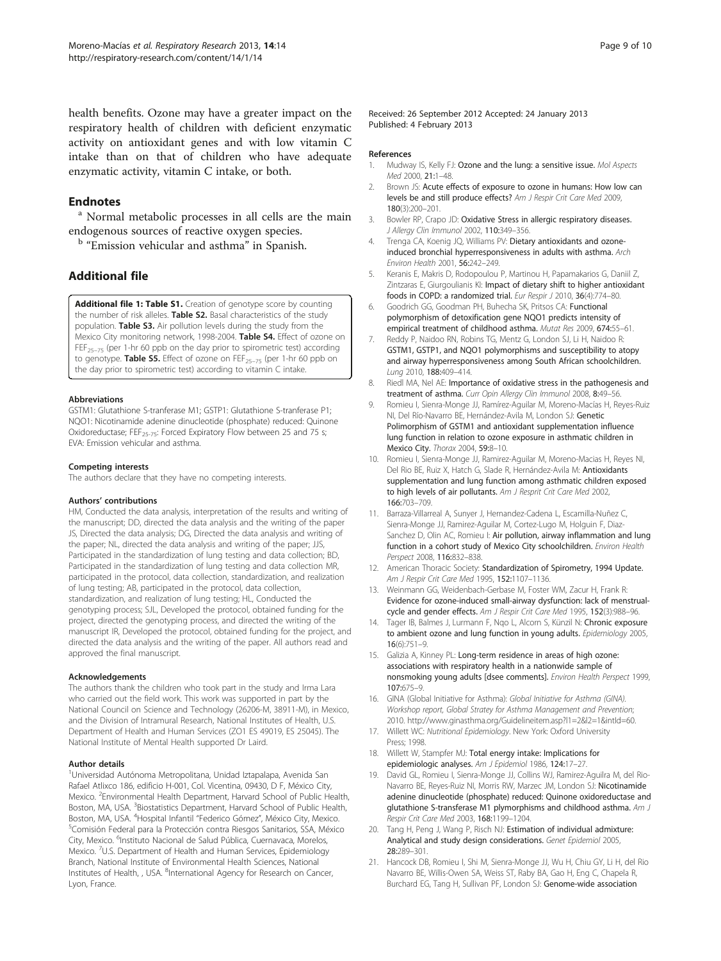<span id="page-8-0"></span>health benefits. Ozone may have a greater impact on the respiratory health of children with deficient enzymatic activity on antioxidant genes and with low vitamin C intake than on that of children who have adequate enzymatic activity, vitamin C intake, or both.

**Endnotes**<br><sup>a</sup> Normal metabolic processes in all cells are the main endogenous sources of reactive oxygen species.

<sup>b</sup> "Emission vehicular and asthma" in Spanish.

# Additional file

[Additional file 1: Table S1.](http://www.biomedcentral.com/content/supplementary/1465-9921-14-14-S1.docx) Creation of genotype score by counting the number of risk alleles. Table S2. Basal characteristics of the study population. Table S3. Air pollution levels during the study from the Mexico City monitoring network, 1998-2004. Table S4. Effect of ozone on FEF<sub>25-75</sub> (per 1-hr 60 ppb on the day prior to spirometric test) according to genotype. Table S5. Effect of ozone on FEF<sub>25–75</sub> (per 1-hr 60 ppb on the day prior to spirometric test) according to vitamin C intake.

#### Abbreviations

GSTM1: Glutathione S-tranferase M1; GSTP1: Glutathione S-tranferase P1; NQO1: Nicotinamide adenine dinucleotide (phosphate) reduced: Quinone Oxidoreductase; FEF<sub>25-75</sub>: Forced Expiratory Flow between 25 and 75 s; EVA: Emission vehicular and asthma.

#### Competing interests

The authors declare that they have no competing interests.

#### Authors' contributions

HM, Conducted the data analysis, interpretation of the results and writing of the manuscript; DD, directed the data analysis and the writing of the paper JS, Directed the data analysis; DG, Directed the data analysis and writing of the paper; NL, directed the data analysis and writing of the paper; JJS, Participated in the standardization of lung testing and data collection; BD, Participated in the standardization of lung testing and data collection MR, participated in the protocol, data collection, standardization, and realization of lung testing; AB, participated in the protocol, data collection, standardization, and realization of lung testing; HL, Conducted the genotyping process; SJL, Developed the protocol, obtained funding for the project, directed the genotyping process, and directed the writing of the manuscript IR, Developed the protocol, obtained funding for the project, and directed the data analysis and the writing of the paper. All authors read and approved the final manuscript.

#### Acknowledgements

The authors thank the children who took part in the study and Irma Lara who carried out the field work. This work was supported in part by the National Council on Science and Technology (26206-M, 38911-M), in Mexico, and the Division of Intramural Research, National Institutes of Health, U.S. Department of Health and Human Services (ZO1 ES 49019, ES 25045). The National Institute of Mental Health supported Dr Laird.

#### Author details

1 Universidad Autónoma Metropolitana, Unidad Iztapalapa, Avenida San Rafael Atlixco 186, edificio H-001, Col. Vicentina, 09430, D F, México City, Mexico. <sup>2</sup>Environmental Health Department, Harvard School of Public Health, Boston, MA, USA. <sup>3</sup>Biostatistics Department, Harvard School of Public Health,<br>Boston, MA, USA. <sup>4</sup>Hospital Infantil "Federico Gómez", México City, Mexico.<br><sup>5</sup>Comisión Eoderal para la Protocción contra Piecoce Sanitarios, <sup>5</sup> Comisión Federal para la Protección contra Riesgos Sanitarios, SSA, México City, Mexico. <sup>6</sup>Instituto Nacional de Salud Pública, Cuernavaca, Morelos, Mexico. <sup>7</sup>U.S. Department of Health and Human Services, Epidemiology Branch, National Institute of Environmental Health Sciences, National Institutes of Health, , USA. <sup>8</sup>International Agency for Research on Cancer, Lyon, France.

#### References

- 1. Mudway IS, Kelly FJ: Ozone and the lung: a sensitive issue. Mol Aspects Med 2000, 21:1–48.
- 2. Brown JS: Acute effects of exposure to ozone in humans: How low can levels be and still produce effects? Am J Respir Crit Care Med 2009, 180(3):200–201.
- 3. Bowler RP, Crapo JD: Oxidative Stress in allergic respiratory diseases. J Allergy Clin Immunol 2002, 110:349–356.
- 4. Trenga CA, Koenig JQ, Williams PV: Dietary antioxidants and ozoneinduced bronchial hyperresponsiveness in adults with asthma. Arch Environ Health 2001, 56:242–249.
- 5. Keranis E, Makris D, Rodopoulou P, Martinou H, Papamakarios G, Daniil Z, Zintzaras E, Giurgoulianis KI: Impact of dietary shift to higher antioxidant foods in COPD: a randomized trial. Eur Respir J 2010, 36(4):774–80.
- 6. Goodrich GG, Goodman PH, Buhecha SK, Pritsos CA: Functional polymorphism of detoxification gene NQO1 predicts intensity of empirical treatment of childhood asthma. Mutat Res 2009, 674:55–61.
- 7. Reddy P, Naidoo RN, Robins TG, Mentz G, London SJ, Li H, Naidoo R: GSTM1, GSTP1, and NQO1 polymorphisms and susceptibility to atopy and airway hyperresponsiveness among South African schoolchildren. Lung 2010, 188:409–414.
- 8. Riedl MA, Nel AE: Importance of oxidative stress in the pathogenesis and treatment of asthma. Curr Opin Allergy Clin Immunol 2008, 8:49-56.
- 9. Romieu I, Sienra-Monge JJ, Ramírez-Aguilar M, Moreno-Macías H, Reyes-Ruiz NI, Del Río-Navarro BE, Hernández-Avila M, London SJ: Genetic Polimorphism of GSTM1 and antioxidant supplementation influence lung function in relation to ozone exposure in asthmatic children in Mexico City. Thorax 2004, 59:8–10.
- 10. Romieu I, Sienra-Monge JJ, Ramirez-Aguilar M, Moreno-Macias H, Reyes NI, Del Rio BE, Ruiz X, Hatch G, Slade R, Hernández-Avila M: Antioxidants supplementation and lung function among asthmatic children exposed to high levels of air pollutants. Am J Resprit Crit Care Med 2002, 166:703–709.
- 11. Barraza-Villarreal A, Sunyer J, Hernandez-Cadena L, Escamilla-Nuñez C, Sienra-Monge JJ, Ramirez-Aguilar M, Cortez-Lugo M, Holguin F, Diaz-Sanchez D, Olin AC, Romieu I: Air pollution, airway inflammation and lung function in a cohort study of Mexico City schoolchildren. Environ Health Perspect 2008, 116:832–838.
- 12. American Thoracic Society: Standardization of Spirometry, 1994 Update. Am J Respir Crit Care Med 1995, 152:1107–1136.
- 13. Weinmann GG, Weidenbach-Gerbase M, Foster WM, Zacur H, Frank R: Evidence for ozone-induced small-airway dysfunction: lack of menstrualcycle and gender effects. Am J Respir Crit Care Med 1995, 152(3):988–96.
- 14. Tager IB, Balmes J, Lurmann F, Ngo L, Alcorn S, Künzil N: Chronic exposure to ambient ozone and lung function in young adults. Epidemiology 2005, 16(6):751–9.
- 15. Galizia A, Kinney PL: Long-term residence in areas of high ozone: associations with respiratory health in a nationwide sample of nonsmoking young adults [dsee comments]. Environ Health Perspect 1999, 107:675–9.
- 16. GINA (Global Initiative for Asthma): Global Initiative for Asthma (GINA). Workshop report, Global Stratey for Asthma Management and Prevention; 2010. [http://www.ginasthma.org/Guidelineitem.asp?l1=2&l2=1&intId=60.](http://www.ginasthma.org/Guidelineitem.asp?l1=2&l2=1&intId=60)
- 17. Willett WC: Nutritional Epidemiology. New York: Oxford University Press; 1998.
- 18. Willett W, Stampfer MJ: Total energy intake: Implications for epidemiologic analyses. Am J Epidemiol 1986, 124:17–27.
- 19. David GL, Romieu I, Sienra-Monge JJ, Collins WJ, Ramirez-Aguilra M, del Rio-Navarro BE, Reyes-Ruiz NI, Morris RW, Marzec JM, London SJ: Nicotinamide adenine dinucleotide (phosphate) reduced: Quinone oxidoreductase and glutathione S-transferase M1 plymorphisms and childhood asthma. Am J Respir Crit Care Med 2003, 168:1199–1204.
- 20. Tang H, Peng J, Wang P, Risch NJ: Estimation of individual admixture: Analytical and study design considerations. Genet Epidemiol 2005, 28:289–301.
- 21. Hancock DB, Romieu I, Shi M, Sienra-Monge JJ, Wu H, Chiu GY, Li H, del Rio Navarro BE, Willis-Owen SA, Weiss ST, Raby BA, Gao H, Eng C, Chapela R, Burchard EG, Tang H, Sullivan PF, London SJ: Genome-wide association